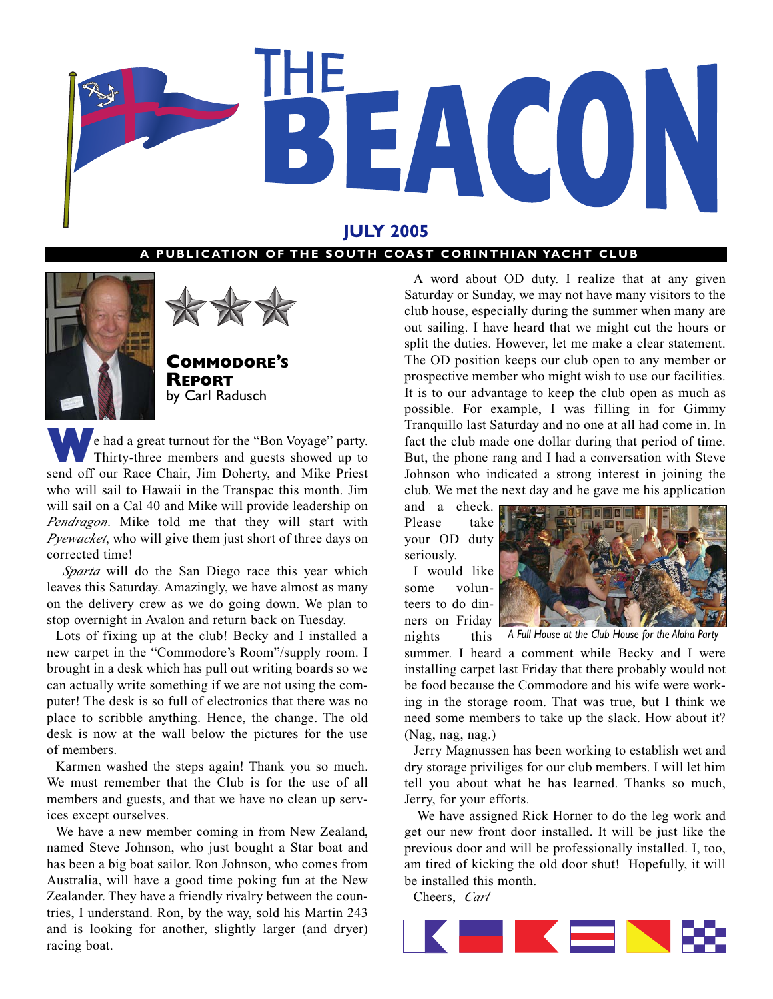

## **JULY 2005**

#### A PUBLICATION OF THE SOUTH COAST CORINTHIAN YACHT CLUB





**COMMODORE'S REPORT** by Carl Radusch

**W**e had a great turnout for the "Bon Voyage" party. Thirty-three members and guests showed up to send off our Race Chair, Jim Doherty, and Mike Priest who will sail to Hawaii in the Transpac this month. Jim will sail on a Cal 40 and Mike will provide leadership on *Pendragon*. Mike told me that they will start with *Pyewacket*, who will give them just short of three days on corrected time!

*Sparta* will do the San Diego race this year which leaves this Saturday. Amazingly, we have almost as many on the delivery crew as we do going down. We plan to stop overnight in Avalon and return back on Tuesday.

Lots of fixing up at the club! Becky and I installed a new carpet in the "Commodore's Room"/supply room. I brought in a desk which has pull out writing boards so we can actually write something if we are not using the computer! The desk is so full of electronics that there was no place to scribble anything. Hence, the change. The old desk is now at the wall below the pictures for the use of members.

Karmen washed the steps again! Thank you so much. We must remember that the Club is for the use of all members and guests, and that we have no clean up services except ourselves.

We have a new member coming in from New Zealand, named Steve Johnson, who just bought a Star boat and has been a big boat sailor. Ron Johnson, who comes from Australia, will have a good time poking fun at the New Zealander. They have a friendly rivalry between the countries, I understand. Ron, by the way, sold his Martin 243 and is looking for another, slightly larger (and dryer) racing boat.

A word about OD duty. I realize that at any given Saturday or Sunday, we may not have many visitors to the club house, especially during the summer when many are out sailing. I have heard that we might cut the hours or split the duties. However, let me make a clear statement. The OD position keeps our club open to any member or prospective member who might wish to use our facilities. It is to our advantage to keep the club open as much as possible. For example, I was filling in for Gimmy Tranquillo last Saturday and no one at all had come in. In fact the club made one dollar during that period of time. But, the phone rang and I had a conversation with Steve Johnson who indicated a strong interest in joining the club. We met the next day and he gave me his application

and a check. Please take your OD duty seriously. I would like

some volunteers to do dinners on Friday nights this



*A Full House at the Club House for the Aloha Party*

summer. I heard a comment while Becky and I were installing carpet last Friday that there probably would not be food because the Commodore and his wife were working in the storage room. That was true, but I think we need some members to take up the slack. How about it? (Nag, nag, nag.)

Jerry Magnussen has been working to establish wet and dry storage priviliges for our club members. I will let him tell you about what he has learned. Thanks so much, Jerry, for your efforts.

We have assigned Rick Horner to do the leg work and get our new front door installed. It will be just like the previous door and will be professionally installed. I, too, am tired of kicking the old door shut! Hopefully, it will be installed this month.

Cheers, *Carl*

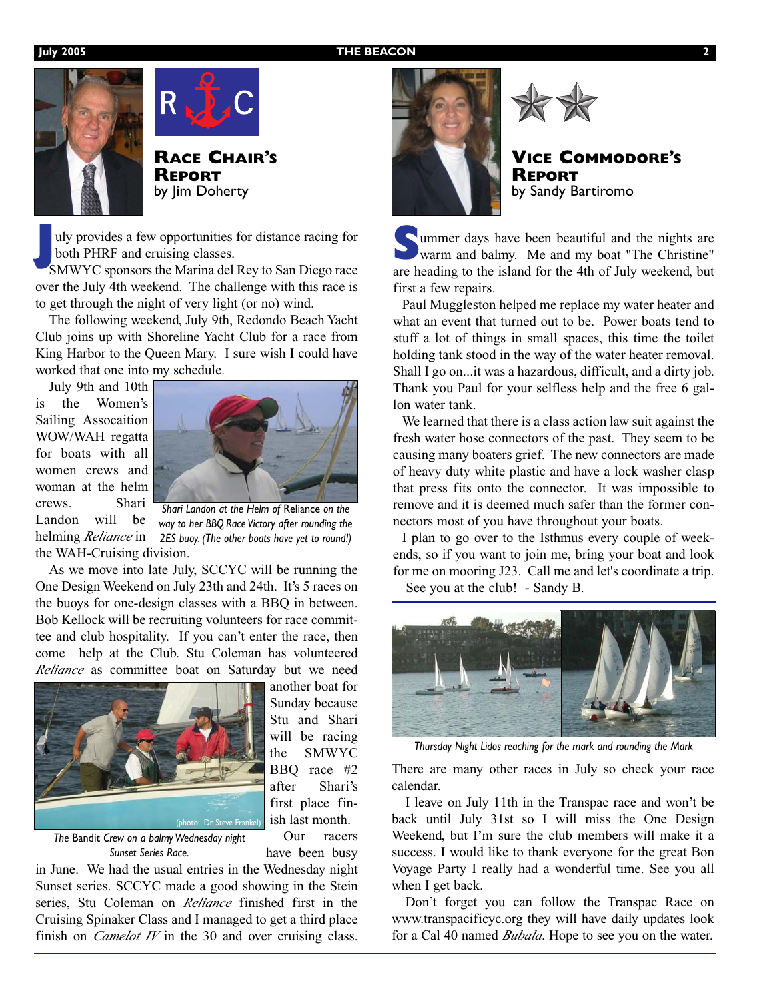#### **July 2005 THE BEACON**





**RACE CHAIR'S REPORT** by Jim Doherty

**J**uly provides a few opportunities for distance racing for both PHRF and cruising classes.

SMWYC sponsors the Marina del Rey to San Diego race over the July 4th weekend. The challenge with this race is to get through the night of very light (or no) wind.

The following weekend, July 9th, Redondo Beach Yacht Club joins up with Shoreline Yacht Club for a race from King Harbor to the Queen Mary. I sure wish I could have worked that one into my schedule.

July 9th and 10th is the Women's Sailing Assocaition WOW/WAH regatta for boats with all women crews and woman at the helm crews. Shari



Landon will be the WAH-Cruising division.

helming *Reliance* in *2ES buoy. (The other boats have yet to round!) Shari Landon at the Helm of* Reliance *on the way to her BBQ Race Victory after rounding the*

As we move into late July, SCCYC will be running the One Design Weekend on July 23th and 24th. It's 5 races on the buoys for one-design classes with a BBQ in between. Bob Kellock will be recruiting volunteers for race committee and club hospitality. If you can't enter the race, then come help at the Club. Stu Coleman has volunteered *Reliance* as committee boat on Saturday but we need



another boat for Sunday because Stu and Shari will be racing the SMWYC BBQ race #2 after Shari's first place finish last month.

*The* Bandit *Crew on a balmy Wednesday night Sunset Series Race.*

Our racers have been busy

in June. We had the usual entries in the Wednesday night Sunset series. SCCYC made a good showing in the Stein series, Stu Coleman on *Reliance* finished first in the Cruising Spinaker Class and I managed to get a third place finish on *Camelot IV* in the 30 and over cruising class.





**VICE COMMODORE'S REPORT** by Sandy Bartiromo

Summer days have been beautiful and the nights are<br>warm and balmy. Me and my boat "The Christine" are heading to the island for the 4th of July weekend, but first a few repairs.

Paul Muggleston helped me replace my water heater and what an event that turned out to be. Power boats tend to stuff a lot of things in small spaces, this time the toilet holding tank stood in the way of the water heater removal. Shall I go on...it was a hazardous, difficult, and a dirty job. Thank you Paul for your selfless help and the free 6 gallon water tank.

We learned that there is a class action law suit against the fresh water hose connectors of the past. They seem to be causing many boaters grief. The new connectors are made of heavy duty white plastic and have a lock washer clasp that press fits onto the connector. It was impossible to remove and it is deemed much safer than the former connectors most of you have throughout your boats.

I plan to go over to the Isthmus every couple of weekends, so if you want to join me, bring your boat and look for me on mooring J23. Call me and let's coordinate a trip. See you at the club! - Sandy B.



*Thursday Night Lidos reaching for the mark and rounding the Mark*

There are many other races in July so check your race calendar.

I leave on July 11th in the Transpac race and won't be back until July 31st so I will miss the One Design Weekend, but I'm sure the club members will make it a success. I would like to thank everyone for the great Bon Voyage Party I really had a wonderful time. See you all when I get back.

Don't forget you can follow the Transpac Race on www.transpacificyc.org they will have daily updates look for a Cal 40 named *Bubala*. Hope to see you on the water.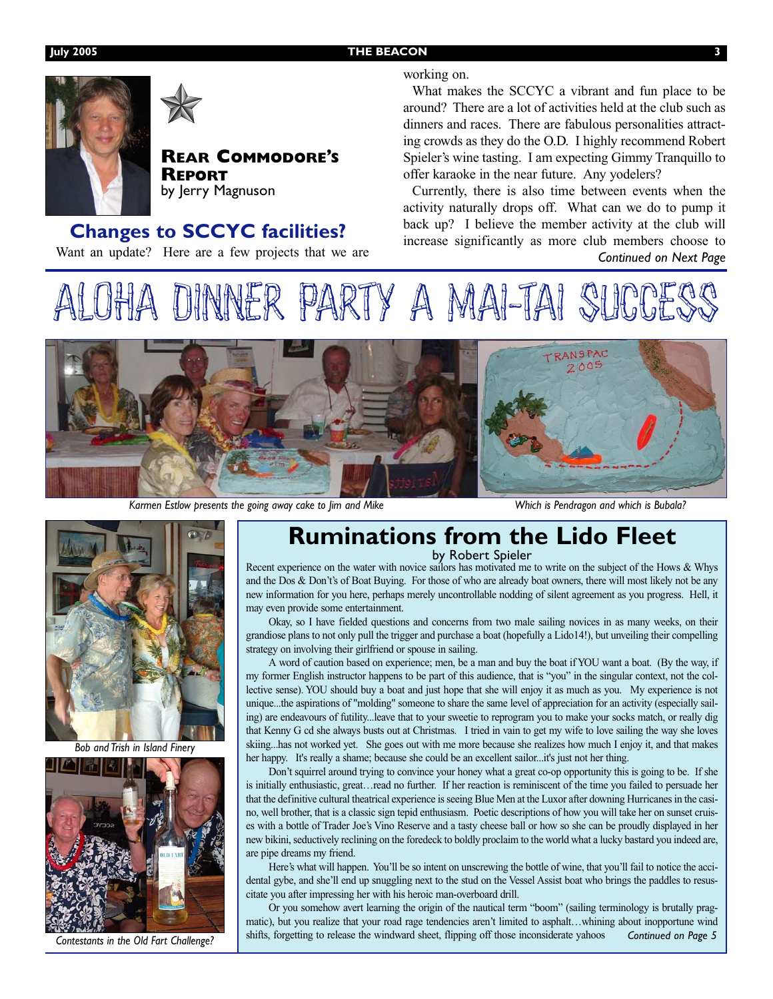#### **July 2005 THE BEACON 3**



working on.

**REAR COMMODORE'S** by Jerry Magnuson

## **Changes to SCCYC facilities?**

Want an update? Here are a few projects that we are

#### What makes the SCCYC a vibrant and fun place to be around? There are a lot of activities held at the club such as dinners and races. There are fabulous personalities attracting crowds as they do the O.D. I highly recommend Robert Spieler's wine tasting. I am expecting Gimmy Tranquillo to offer karaoke in the near future. Any yodelers?

Currently, there is also time between events when the activity naturally drops off. What can we do to pump it back up? I believe the member activity at the club will increase significantly as more club members choose to *Continued on Next Page*





*Karmen Estlow presents the going away cake to Jim and Mike*

*Which is Pendragon and which is Bubala?*



*Bob and Trish in Island Finery*



*Contestants in the Old Fart Challenge?*

## **Ruminations from the Lido Fleet**

by Robert Spieler

Recent experience on the water with novice sailors has motivated me to write on the subject of the Hows & Whys and the Dos & Don't's of Boat Buying. For those of who are already boat owners, there will most likely not be any new information for you here, perhaps merely uncontrollable nodding of silent agreement as you progress. Hell, it may even provide some entertainment.

Okay, so I have fielded questions and concerns from two male sailing novices in as many weeks, on their grandiose plans to not only pull the trigger and purchase a boat (hopefully a Lido14!), but unveiling their compelling strategy on involving their girlfriend or spouse in sailing.

A word of caution based on experience; men, be a man and buy the boat if YOU want a boat. (By the way, if my former English instructor happens to be part of this audience, that is "you" in the singular context, not the collective sense). YOU should buy a boat and just hope that she will enjoy it as much as you. My experience is not unique...the aspirations of "molding" someone to share the same level of appreciation for an activity (especially sailing) are endeavours of futility...leave that to your sweetie to reprogram you to make your socks match, or really dig that Kenny G cd she always busts out at Christmas. I tried in vain to get my wife to love sailing the way she loves skiing...has not worked yet. She goes out with me more because she realizes how much I enjoy it, and that makes her happy. It's really a shame; because she could be an excellent sailor...it's just not her thing.

Don't squirrel around trying to convince your honey what a great co-op opportunity this is going to be. If she is initially enthusiastic, great…read no further. If her reaction is reminiscent of the time you failed to persuade her that the definitive cultural theatrical experience is seeing Blue Men at the Luxor after downing Hurricanes in the casino, well brother, that is a classic sign tepid enthusiasm. Poetic descriptions of how you will take her on sunset cruises with a bottle of Trader Joe's Vino Reserve and a tasty cheese ball or how so she can be proudly displayed in her new bikini, seductively reclining on the foredeck to boldly proclaim to the world what a lucky bastard you indeed are, are pipe dreams my friend.

Here's what will happen. You'll be so intent on unscrewing the bottle of wine, that you'll fail to notice the accidental gybe, and she'll end up snuggling next to the stud on the Vessel Assist boat who brings the paddles to resuscitate you after impressing her with his heroic man-overboard drill.

Or you somehow avert learning the origin of the nautical term "boom" (sailing terminology is brutally pragmatic), but you realize that your road rage tendencies aren't limited to asphalt…whining about inopportune wind shifts, forgetting to release the windward sheet, flipping off those inconsiderate yahoos *Continued on Page 5*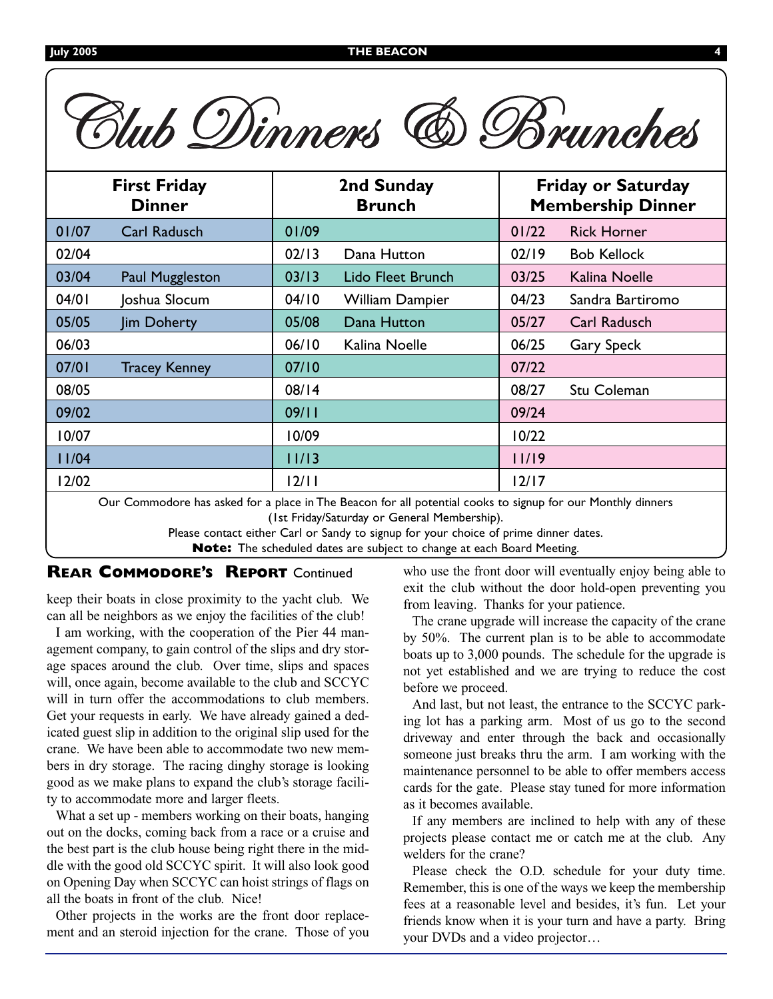| Blub Dinners<br><b>(6) Brunches</b>  |                      |                             |                        |                                                       |                    |  |
|--------------------------------------|----------------------|-----------------------------|------------------------|-------------------------------------------------------|--------------------|--|
| <b>First Friday</b><br><b>Dinner</b> |                      | 2nd Sunday<br><b>Brunch</b> |                        | <b>Friday or Saturday</b><br><b>Membership Dinner</b> |                    |  |
| 01/07                                | Carl Radusch         | 01/09                       |                        | 01/22                                                 | <b>Rick Horner</b> |  |
| 02/04                                |                      | 02/13                       | Dana Hutton            | 02/19                                                 | <b>Bob Kellock</b> |  |
| 03/04                                | Paul Muggleston      | 03/13                       | Lido Fleet Brunch      | 03/25                                                 | Kalina Noelle      |  |
| 04/01                                | Joshua Slocum        | 04/10                       | <b>William Dampier</b> | 04/23                                                 | Sandra Bartiromo   |  |
| 05/05                                | Jim Doherty          | 05/08                       | Dana Hutton            | 05/27                                                 | Carl Radusch       |  |
| 06/03                                |                      | 06/10                       | Kalina Noelle          | 06/25                                                 | Gary Speck         |  |
| 07/01                                | <b>Tracey Kenney</b> | 07/10                       |                        | 07/22                                                 |                    |  |
| 08/05                                |                      | 08/14                       |                        | 08/27                                                 | Stu Coleman        |  |
| 09/02                                |                      | 09/11                       |                        | 09/24                                                 |                    |  |
| 10/07                                |                      | 10/09                       |                        | 10/22                                                 |                    |  |
| 11/04                                |                      | 11/13                       |                        | 11/19                                                 |                    |  |
| 12/02                                |                      | 12/11                       |                        | $12/17$                                               |                    |  |

Our Commodore has asked for a place in The Beacon for all potential cooks to signup for our Monthly dinners (1st Friday/Saturday or General Membership).

Please contact either Carl or Sandy to signup for your choice of prime dinner dates.

**Note:** The scheduled dates are subject to change at each Board Meeting.

#### **REAR COMMODORE'S REPORT** Continued

keep their boats in close proximity to the yacht club. We can all be neighbors as we enjoy the facilities of the club!

I am working, with the cooperation of the Pier 44 management company, to gain control of the slips and dry storage spaces around the club. Over time, slips and spaces will, once again, become available to the club and SCCYC will in turn offer the accommodations to club members. Get your requests in early. We have already gained a dedicated guest slip in addition to the original slip used for the crane. We have been able to accommodate two new members in dry storage. The racing dinghy storage is looking good as we make plans to expand the club's storage facility to accommodate more and larger fleets.

What a set up - members working on their boats, hanging out on the docks, coming back from a race or a cruise and the best part is the club house being right there in the middle with the good old SCCYC spirit. It will also look good on Opening Day when SCCYC can hoist strings of flags on all the boats in front of the club. Nice!

Other projects in the works are the front door replacement and an steroid injection for the crane. Those of you who use the front door will eventually enjoy being able to exit the club without the door hold-open preventing you from leaving. Thanks for your patience.

The crane upgrade will increase the capacity of the crane by 50%. The current plan is to be able to accommodate boats up to 3,000 pounds. The schedule for the upgrade is not yet established and we are trying to reduce the cost before we proceed.

And last, but not least, the entrance to the SCCYC parking lot has a parking arm. Most of us go to the second driveway and enter through the back and occasionally someone just breaks thru the arm. I am working with the maintenance personnel to be able to offer members access cards for the gate. Please stay tuned for more information as it becomes available.

If any members are inclined to help with any of these projects please contact me or catch me at the club. Any welders for the crane?

Please check the O.D. schedule for your duty time. Remember, this is one of the ways we keep the membership fees at a reasonable level and besides, it's fun. Let your friends know when it is your turn and have a party. Bring your DVDs and a video projector…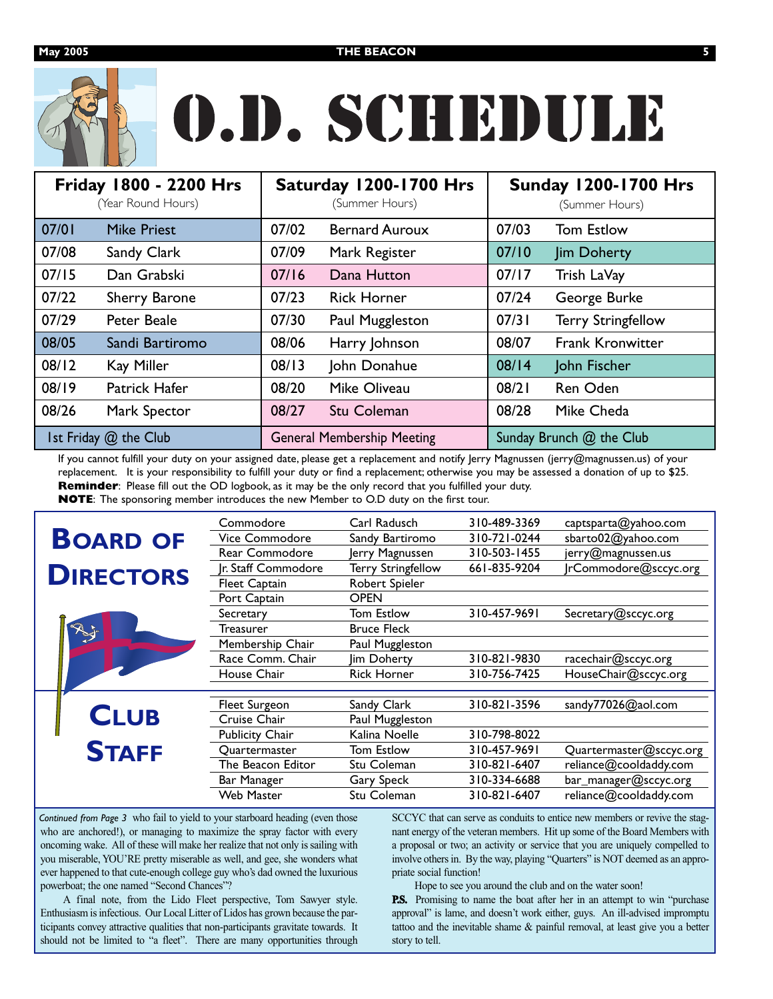

# O.D. SCHEDULE

| Friday 1800 - 2200 Hrs<br>(Year Round Hours) |                    | Saturday 1200-1700 Hrs<br>(Summer Hours) |                       | <b>Sunday 1200-1700 Hrs</b><br>(Summer Hours) |                           |  |
|----------------------------------------------|--------------------|------------------------------------------|-----------------------|-----------------------------------------------|---------------------------|--|
| 07/01                                        | <b>Mike Priest</b> | 07/02                                    | <b>Bernard Auroux</b> | 07/03                                         | <b>Tom Estlow</b>         |  |
| 07/08                                        | Sandy Clark        | 07/09                                    | Mark Register         | 07/10                                         | <b>Jim Doherty</b>        |  |
| 07/15                                        | Dan Grabski        | 07/16                                    | Dana Hutton           | 07/17                                         | Trish LaVay               |  |
| 07/22                                        | Sherry Barone      | 07/23                                    | <b>Rick Horner</b>    | 07/24                                         | George Burke              |  |
| 07/29                                        | Peter Beale        | 07/30                                    | Paul Muggleston       | 07/31                                         | <b>Terry Stringfellow</b> |  |
| 08/05                                        | Sandi Bartiromo    | 08/06                                    | Harry Johnson         | 08/07                                         | <b>Frank Kronwitter</b>   |  |
| 08/12                                        | Kay Miller         | 08/13                                    | John Donahue          | 08/14                                         | John Fischer              |  |
| 08/19                                        | Patrick Hafer      | 08/20                                    | Mike Oliveau          | 08/21                                         | Ren Oden                  |  |
| 08/26                                        | Mark Spector       | 08/27                                    | Stu Coleman           | 08/28                                         | Mike Cheda                |  |
| Ist Friday @ the Club                        |                    | <b>General Membership Meeting</b>        |                       | Sunday Brunch @ the Club                      |                           |  |

If you cannot fulfill your duty on your assigned date, please get a replacement and notify Jerry Magnussen (jerry@magnussen.us) of your replacement. It is your responsibility to fulfill your duty or find a replacement; otherwise you may be assessed a donation of up to \$25. **Reminder**: Please fill out the OD logbook, as it may be the only record that you fulfilled your duty. **NOTE**: The sponsoring member introduces the new Member to O.D duty on the first tour.

|                  |  | Commodore            | Carl Radusch              | 310-489-3369 | captsparta@yahoo.com    |
|------------------|--|----------------------|---------------------------|--------------|-------------------------|
| <b>BOARD OF</b>  |  | Vice Commodore       | Sandy Bartiromo           | 310-721-0244 | sbarto02@yahoo.com      |
|                  |  | Rear Commodore       | Jerry Magnussen           | 310-503-1455 | jerry@magnussen.us      |
| <b>DIRECTORS</b> |  | Ir. Staff Commodore  | <b>Terry Stringfellow</b> | 661-835-9204 | JrCommodore@sccyc.org   |
|                  |  | <b>Fleet Captain</b> | Robert Spieler            |              |                         |
|                  |  | Port Captain         | <b>OPEN</b>               |              |                         |
|                  |  | Secretary            | Tom Estlow                | 310-457-9691 | Secretary@sccyc.org     |
|                  |  | Treasurer            | <b>Bruce Fleck</b>        |              |                         |
|                  |  | Membership Chair     | Paul Muggleston           |              |                         |
|                  |  | Race Comm. Chair     | Jim Doherty               | 310-821-9830 | racechair@sccyc.org     |
|                  |  | House Chair          | <b>Rick Horner</b>        | 310-756-7425 | HouseChair@sccyc.org    |
|                  |  |                      |                           |              |                         |
|                  |  | Fleet Surgeon        | Sandy Clark               | 310-821-3596 | sandy77026@aol.com      |
| <b>CLUB</b>      |  | Cruise Chair         | Paul Muggleston           |              |                         |
|                  |  | Publicity Chair      | Kalina Noelle             | 310-798-8022 |                         |
| <b>STAFF</b>     |  | Quartermaster        | Tom Estlow                | 310-457-9691 | Quartermaster@sccyc.org |
|                  |  | The Beacon Editor    | Stu Coleman               | 310-821-6407 | reliance@cooldaddy.com  |
|                  |  | Bar Manager          | Gary Speck                | 310-334-6688 | bar_manager@sccyc.org   |
|                  |  | <b>Web Master</b>    | Stu Coleman               | 310-821-6407 | reliance@cooldaddy.com  |

Continued from Page 3 who fail to yield to your starboard heading (even those who are anchored!), or managing to maximize the spray factor with every oncoming wake. All of these will make her realize that not only is sailing with you miserable, YOU'RE pretty miserable as well, and gee, she wonders what ever happened to that cute-enough college guy who's dad owned the luxurious powerboat; the one named "Second Chances"?

A final note, from the Lido Fleet perspective, Tom Sawyer style. Enthusiasm is infectious. Our Local Litter of Lidos has grown because the participants convey attractive qualities that non-participants gravitate towards. It should not be limited to "a fleet". There are many opportunities through

SCCYC that can serve as conduits to entice new members or revive the stagnant energy of the veteran members. Hit up some of the Board Members with a proposal or two; an activity or service that you are uniquely compelled to involve others in. By the way, playing "Quarters" is NOT deemed as an appropriate social function!

Hope to see you around the club and on the water soon!

**P.S.** Promising to name the boat after her in an attempt to win "purchase" approval" is lame, and doesn't work either, guys. An ill-advised impromptu tattoo and the inevitable shame & painful removal, at least give you a better story to tell.